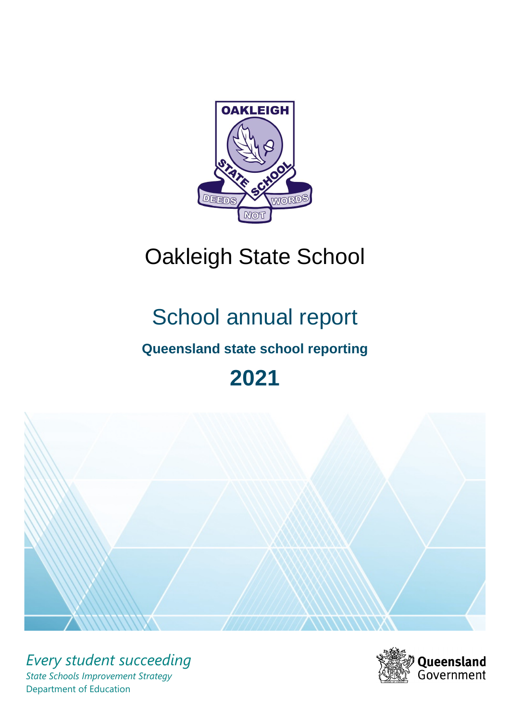

# Oakleigh State School

# School annual report

# **Queensland state school reporting**

# **2021**



*Every student succeeding State Schools Improvement Strategy* Department of Education

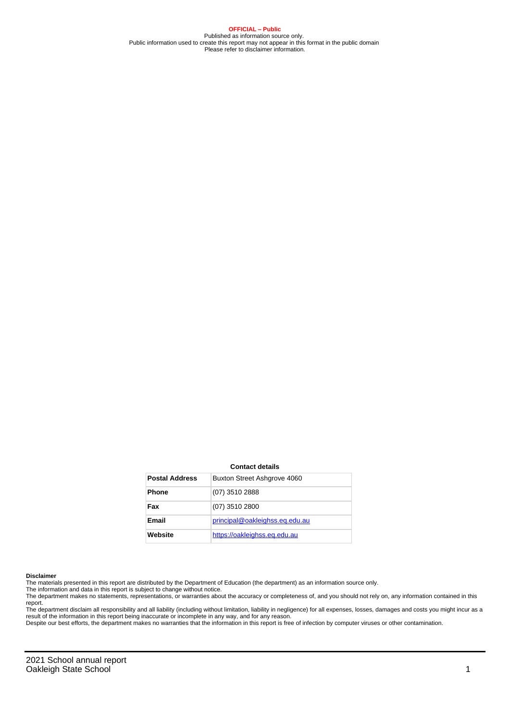**OFFICIAL – Public** Published as information source only. Public information used to create this report may not appear in this format in the public domain Please refer to disclaimer information.

#### **Contact details**

| <b>Postal Address</b> | Buxton Street Ashgrove 4060    |
|-----------------------|--------------------------------|
| <b>Phone</b>          | (07) 3510 2888                 |
| Fax                   | $(07)$ 3510 2800               |
| <b>Email</b>          | principal@oakleighss.eq.edu.au |
| Website               | https://oakleighss.eg.edu.au   |

#### **Disclaimer**

The materials presented in this report are distributed by the Department of Education (the department) as an information source only.

The information and data in this report is subject to change without notice.<br>The department makes no statements, representations, or warranties about the accuracy or completeness of, and you should not rely on, any informa report. The department disclaim all responsibility and all liability (including without limitation, liability in negligence) for all expenses, losses, damages and costs you might incur as a

result of the information in this report being inaccurate or incomplete in any way, and for any reason. Despite our best efforts, the department makes no warranties that the information in this report is free of infection by computer viruses or other contamination.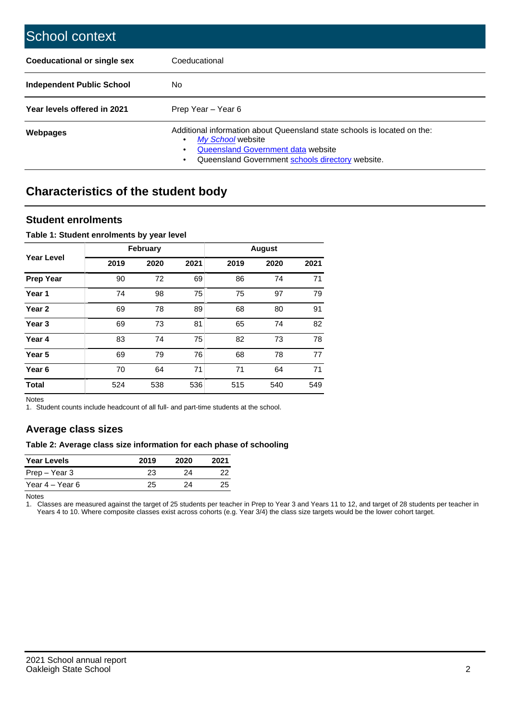| School context                   |                                                                                                                                                                                              |
|----------------------------------|----------------------------------------------------------------------------------------------------------------------------------------------------------------------------------------------|
| Coeducational or single sex      | Coeducational                                                                                                                                                                                |
| <b>Independent Public School</b> | No.                                                                                                                                                                                          |
| Year levels offered in 2021      | Prep Year - Year 6                                                                                                                                                                           |
| Webpages                         | Additional information about Queensland state schools is located on the:<br>My School website<br>Queensland Government data website<br>Queensland Government schools directory website.<br>٠ |

# **Characteristics of the student body**

### **Student enrolments**

#### **Table 1: Student enrolments by year level**

|                   |      | <b>February</b> |      |      | <b>August</b> |      |  |
|-------------------|------|-----------------|------|------|---------------|------|--|
| <b>Year Level</b> | 2019 | 2020            | 2021 | 2019 | 2020          | 2021 |  |
| <b>Prep Year</b>  | 90   | 72              | 69   | 86   | 74            | 71   |  |
| Year 1            | 74   | 98              | 75   | 75   | 97            | 79   |  |
| Year 2            | 69   | 78              | 89   | 68   | 80            | 91   |  |
| Year <sub>3</sub> | 69   | 73              | 81   | 65   | 74            | 82   |  |
| Year 4            | 83   | 74              | 75   | 82   | 73            | 78   |  |
| Year <sub>5</sub> | 69   | 79              | 76   | 68   | 78            | 77   |  |
| Year <sub>6</sub> | 70   | 64              | 71   | 71   | 64            | 71   |  |
| <b>Total</b>      | 524  | 538             | 536  | 515  | 540           | 549  |  |

Notes

1. Student counts include headcount of all full- and part-time students at the school.

## **Average class sizes**

#### **Table 2: Average class size information for each phase of schooling**

| <b>Year Levels</b> | 2019 | 2020 | 2021 |
|--------------------|------|------|------|
| Prep – Year 3      | 23   | 24   | 22   |
| Year 4 – Year 6    | 25   | 24   | 25   |

Notes

1. Classes are measured against the target of 25 students per teacher in Prep to Year 3 and Years 11 to 12, and target of 28 students per teacher in Years 4 to 10. Where composite classes exist across cohorts (e.g. Year 3/4) the class size targets would be the lower cohort target.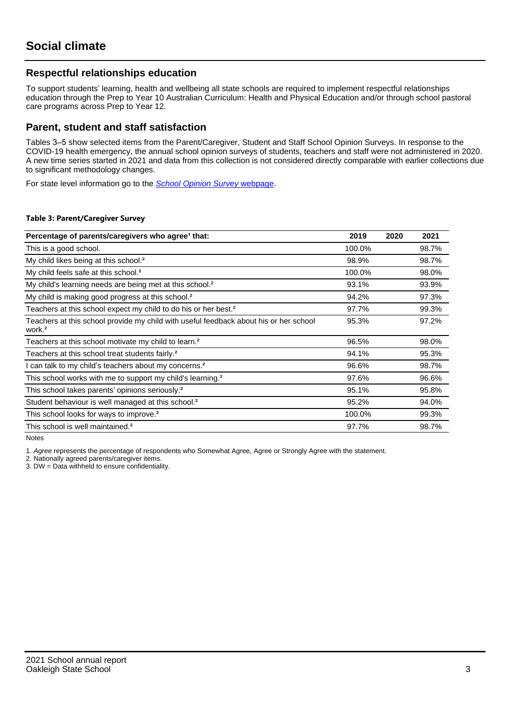## **Respectful relationships education**

To support students' learning, health and wellbeing all state schools are required to implement respectful relationships education through the Prep to Year 10 Australian Curriculum: Health and Physical Education and/or through school pastoral care programs across Prep to Year 12.

### **Parent, student and staff satisfaction**

Tables 3–5 show selected items from the Parent/Caregiver, Student and Staff School Opinion Surveys. In response to the COVID-19 health emergency, the annual school opinion surveys of students, teachers and staff were not administered in 2020. A new time series started in 2021 and data from this collection is not considered directly comparable with earlier collections due to significant methodology changes.

For state level information go to the **[School Opinion Survey](https://qed.qld.gov.au/publications/reports/statistics/schooling/schools/schoolopinionsurvey) webpage**.

#### **Table 3: Parent/Caregiver Survey**

| Percentage of parents/caregivers who agree <sup>1</sup> that:                                               | 2019   | 2020 | 2021  |
|-------------------------------------------------------------------------------------------------------------|--------|------|-------|
| This is a good school.                                                                                      | 100.0% |      | 98.7% |
| My child likes being at this school. <sup>2</sup>                                                           | 98.9%  |      | 98.7% |
| My child feels safe at this school. <sup>2</sup>                                                            | 100.0% |      | 98.0% |
| My child's learning needs are being met at this school. <sup>2</sup>                                        | 93.1%  |      | 93.9% |
| My child is making good progress at this school. <sup>2</sup>                                               | 94.2%  |      | 97.3% |
| Teachers at this school expect my child to do his or her best. <sup>2</sup>                                 | 97.7%  |      | 99.3% |
| Teachers at this school provide my child with useful feedback about his or her school<br>work. <sup>2</sup> | 95.3%  |      | 97.2% |
| Teachers at this school motivate my child to learn. <sup>2</sup>                                            | 96.5%  |      | 98.0% |
| Teachers at this school treat students fairly. <sup>2</sup>                                                 | 94.1%  |      | 95.3% |
| I can talk to my child's teachers about my concerns. <sup>2</sup>                                           | 96.6%  |      | 98.7% |
| This school works with me to support my child's learning. <sup>2</sup>                                      | 97.6%  |      | 96.6% |
| This school takes parents' opinions seriously. <sup>2</sup>                                                 | 95.1%  |      | 95.8% |
| Student behaviour is well managed at this school. <sup>2</sup>                                              | 95.2%  |      | 94.0% |
| This school looks for ways to improve. <sup>2</sup>                                                         | 100.0% |      | 99.3% |
| This school is well maintained. <sup>2</sup>                                                                | 97.7%  |      | 98.7% |

Notes

1. Agree represents the percentage of respondents who Somewhat Agree, Agree or Strongly Agree with the statement.

2. Nationally agreed parents/caregiver items.

3. DW = Data withheld to ensure confidentiality.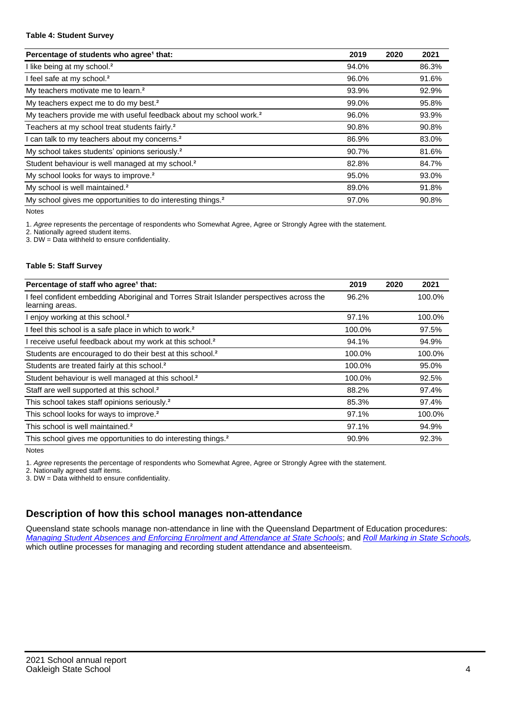#### **Table 4: Student Survey**

| Percentage of students who agree <sup>1</sup> that:                            | 2019  | 2020 | 2021  |
|--------------------------------------------------------------------------------|-------|------|-------|
| I like being at my school. <sup>2</sup>                                        | 94.0% |      | 86.3% |
| I feel safe at my school. <sup>2</sup>                                         | 96.0% |      | 91.6% |
| My teachers motivate me to learn. <sup>2</sup>                                 | 93.9% |      | 92.9% |
| My teachers expect me to do my best. <sup>2</sup>                              | 99.0% |      | 95.8% |
| My teachers provide me with useful feedback about my school work. <sup>2</sup> | 96.0% |      | 93.9% |
| Teachers at my school treat students fairly. <sup>2</sup>                      | 90.8% |      | 90.8% |
| I can talk to my teachers about my concerns. <sup>2</sup>                      | 86.9% |      | 83.0% |
| My school takes students' opinions seriously. <sup>2</sup>                     | 90.7% |      | 81.6% |
| Student behaviour is well managed at my school. <sup>2</sup>                   | 82.8% |      | 84.7% |
| My school looks for ways to improve. <sup>2</sup>                              | 95.0% |      | 93.0% |
| My school is well maintained. <sup>2</sup>                                     | 89.0% |      | 91.8% |
| My school gives me opportunities to do interesting things. <sup>2</sup>        | 97.0% |      | 90.8% |

Notes

1. Agree represents the percentage of respondents who Somewhat Agree, Agree or Strongly Agree with the statement.

2. Nationally agreed student items.

3. DW = Data withheld to ensure confidentiality.

#### **Table 5: Staff Survey**

| Percentage of staff who agree <sup>1</sup> that:                                                            | 2019   | 2020 | 2021   |
|-------------------------------------------------------------------------------------------------------------|--------|------|--------|
| I feel confident embedding Aboriginal and Torres Strait Islander perspectives across the<br>learning areas. | 96.2%  |      | 100.0% |
| I enjoy working at this school. <sup>2</sup>                                                                | 97.1%  |      | 100.0% |
| I feel this school is a safe place in which to work. <sup>2</sup>                                           | 100.0% |      | 97.5%  |
| I receive useful feedback about my work at this school. <sup>2</sup>                                        | 94.1%  |      | 94.9%  |
| Students are encouraged to do their best at this school. <sup>2</sup>                                       | 100.0% |      | 100.0% |
| Students are treated fairly at this school. <sup>2</sup>                                                    | 100.0% |      | 95.0%  |
| Student behaviour is well managed at this school. <sup>2</sup>                                              | 100.0% |      | 92.5%  |
| Staff are well supported at this school. <sup>2</sup>                                                       | 88.2%  |      | 97.4%  |
| This school takes staff opinions seriously. <sup>2</sup>                                                    | 85.3%  |      | 97.4%  |
| This school looks for ways to improve. <sup>2</sup>                                                         | 97.1%  |      | 100.0% |
| This school is well maintained. <sup>2</sup>                                                                | 97.1%  |      | 94.9%  |
| This school gives me opportunities to do interesting things. <sup>2</sup>                                   | 90.9%  |      | 92.3%  |

Notes

1. Agree represents the percentage of respondents who Somewhat Agree, Agree or Strongly Agree with the statement.

2. Nationally agreed staff items.

3. DW = Data withheld to ensure confidentiality.

## **Description of how this school manages non-attendance**

Queensland state schools manage non-attendance in line with the Queensland Department of Education procedures: [Managing Student Absences and Enforcing Enrolment and Attendance at State Schools](https://ppr.qed.qld.gov.au/pp/managing-student-absences-and-enforcing-enrolment-and-attendance-at-state-schools-procedure); and [Roll Marking in State Schools,](https://ppr.qed.qld.gov.au/pp/roll-marking-in-state-schools-procedure) which outline processes for managing and recording student attendance and absenteeism.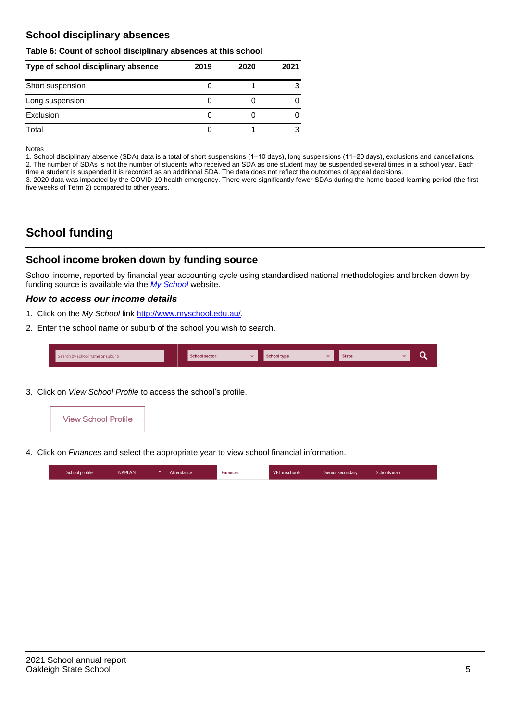## **School disciplinary absences**

#### **Table 6: Count of school disciplinary absences at this school**

| Type of school disciplinary absence | 2019 | 2020 | 2021 |
|-------------------------------------|------|------|------|
| Short suspension                    |      |      | 3    |
| Long suspension                     |      |      |      |
| Exclusion                           |      |      |      |
| Total                               |      |      | 3    |

Notes

1. School disciplinary absence (SDA) data is a total of short suspensions (1–10 days), long suspensions (11–20 days), exclusions and cancellations. 2. The number of SDAs is not the number of students who received an SDA as one student may be suspended several times in a school year. Each time a student is suspended it is recorded as an additional SDA. The data does not reflect the outcomes of appeal decisions.

3. 2020 data was impacted by the COVID-19 health emergency. There were significantly fewer SDAs during the home-based learning period (the first five weeks of Term 2) compared to other years.

# **School funding**

## **School income broken down by funding source**

School income, reported by financial year accounting cycle using standardised national methodologies and broken down by funding source is available via the [My School](http://www.myschool.edu.au/) website.

#### **How to access our income details**

- 1. Click on the My School link <http://www.myschool.edu.au/>.
- 2. Enter the school name or suburb of the school you wish to search.

|  | Search by school name or suburb |  | <b>School sector</b> |  | $\sim$ and $\sim$ represents the set of $\sim$ | <b>State</b> |  |  |  |
|--|---------------------------------|--|----------------------|--|------------------------------------------------|--------------|--|--|--|
|--|---------------------------------|--|----------------------|--|------------------------------------------------|--------------|--|--|--|

3. Click on View School Profile to access the school's profile.



4. Click on Finances and select the appropriate year to view school financial information.

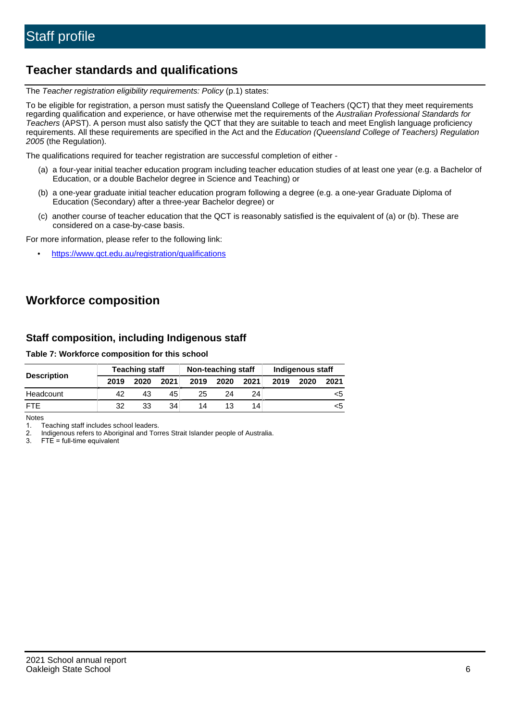## **Teacher standards and qualifications**

The Teacher registration eligibility requirements: Policy (p.1) states:

To be eligible for registration, a person must satisfy the Queensland College of Teachers (QCT) that they meet requirements regarding qualification and experience, or have otherwise met the requirements of the Australian Professional Standards for Teachers (APST). A person must also satisfy the QCT that they are suitable to teach and meet English language proficiency requirements. All these requirements are specified in the Act and the Education (Queensland College of Teachers) Regulation 2005 (the Regulation).

The qualifications required for teacher registration are successful completion of either -

- (a) a four-year initial teacher education program including teacher education studies of at least one year (e.g. a Bachelor of Education, or a double Bachelor degree in Science and Teaching) or
- (b) a one-year graduate initial teacher education program following a degree (e.g. a one-year Graduate Diploma of Education (Secondary) after a three-year Bachelor degree) or
- (c) another course of teacher education that the QCT is reasonably satisfied is the equivalent of (a) or (b). These are considered on a case-by-case basis.

For more information, please refer to the following link:

• <https://www.qct.edu.au/registration/qualifications>

# **Workforce composition**

## **Staff composition, including Indigenous staff**

#### **Table 7: Workforce composition for this school**

|                    |      | <b>Teaching staff</b> |                 |      | Non-teaching staff |      |      | Indigenous staff |      |
|--------------------|------|-----------------------|-----------------|------|--------------------|------|------|------------------|------|
| <b>Description</b> | 2019 | 2020                  | 2021            | 2019 | 2020               | 2021 | 2019 | 2020             | 2021 |
| Headcount          | 42   | 43                    | 45              | 25   | 24                 | 24   |      |                  |      |
| <b>FTE</b>         | 32   | 33                    | 34 <sup>1</sup> | 14   | 13                 | 14   |      |                  |      |

Notes

1. Teaching staff includes school leaders.

2. Indigenous refers to Aboriginal and Torres Strait Islander people of Australia.

3. FTE = full-time equivalent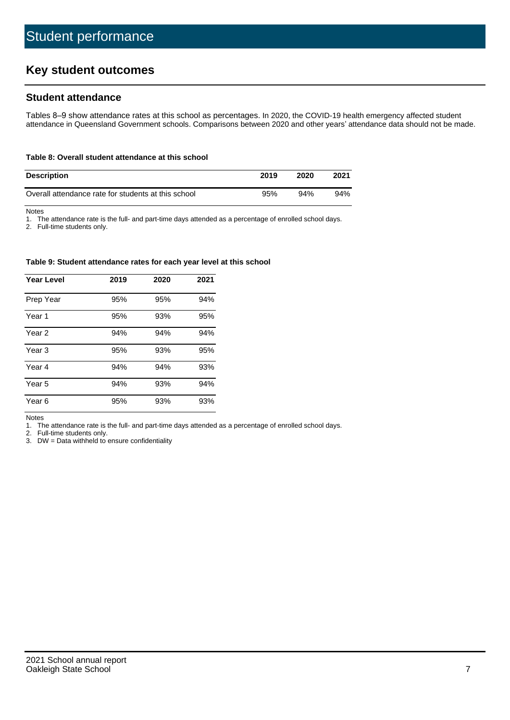# **Key student outcomes**

## **Student attendance**

Tables 8–9 show attendance rates at this school as percentages. In 2020, the COVID-19 health emergency affected student attendance in Queensland Government schools. Comparisons between 2020 and other years' attendance data should not be made.

#### **Table 8: Overall student attendance at this school**

| <b>Description</b>                                  | 2019 | 2020 | 2021 |
|-----------------------------------------------------|------|------|------|
| Overall attendance rate for students at this school | 95%  | 94%  | 94%  |

Notes

1. The attendance rate is the full- and part-time days attended as a percentage of enrolled school days.

2. Full-time students only.

#### **Table 9: Student attendance rates for each year level at this school**

| Year Level | 2019 | 2020 | 2021 |
|------------|------|------|------|
| Prep Year  | 95%  | 95%  | 94%  |
| Year 1     | 95%  | 93%  | 95%  |
| Year 2     | 94%  | 94%  | 94%  |
| Year 3     | 95%  | 93%  | 95%  |
| Year 4     | 94%  | 94%  | 93%  |
| Year 5     | 94%  | 93%  | 94%  |
| Year 6     | 95%  | 93%  | 93%  |

Notes

1. The attendance rate is the full- and part-time days attended as a percentage of enrolled school days.

2. Full-time students only.

3. DW = Data withheld to ensure confidentiality